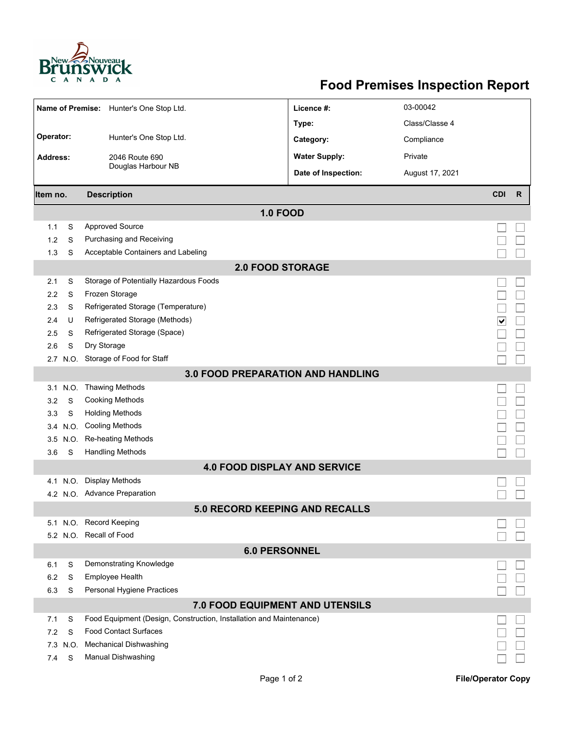

## **Food Premises Inspection Report**

| Name of Premise: Hunter's One Stop Ltd.  |                                          |                                                                     | Licence #:           | 03-00042        |            |              |  |  |  |  |
|------------------------------------------|------------------------------------------|---------------------------------------------------------------------|----------------------|-----------------|------------|--------------|--|--|--|--|
|                                          |                                          |                                                                     | Type:                | Class/Classe 4  |            |              |  |  |  |  |
| Operator:<br>Hunter's One Stop Ltd.      |                                          |                                                                     | Category:            | Compliance      |            |              |  |  |  |  |
|                                          |                                          |                                                                     |                      |                 |            |              |  |  |  |  |
| <b>Address:</b>                          |                                          | 2046 Route 690<br>Douglas Harbour NB                                | <b>Water Supply:</b> | Private         |            |              |  |  |  |  |
|                                          |                                          |                                                                     | Date of Inspection:  | August 17, 2021 |            |              |  |  |  |  |
| Item no.                                 |                                          | <b>Description</b>                                                  |                      |                 | <b>CDI</b> | $\mathsf{R}$ |  |  |  |  |
| <b>1.0 FOOD</b>                          |                                          |                                                                     |                      |                 |            |              |  |  |  |  |
| 1.1                                      | S                                        | <b>Approved Source</b>                                              |                      |                 |            |              |  |  |  |  |
| 1.2                                      | S                                        | Purchasing and Receiving                                            |                      |                 |            |              |  |  |  |  |
| 1.3                                      | S                                        | Acceptable Containers and Labeling                                  |                      |                 |            |              |  |  |  |  |
| <b>2.0 FOOD STORAGE</b>                  |                                          |                                                                     |                      |                 |            |              |  |  |  |  |
| 2.1                                      | S                                        | Storage of Potentially Hazardous Foods                              |                      |                 |            |              |  |  |  |  |
| 2.2                                      | S                                        | Frozen Storage                                                      |                      |                 |            |              |  |  |  |  |
| 2.3                                      | S                                        | Refrigerated Storage (Temperature)                                  |                      |                 |            |              |  |  |  |  |
| 2.4                                      | U                                        | Refrigerated Storage (Methods)<br>$\overline{\blacktriangledown}$   |                      |                 |            |              |  |  |  |  |
| 2.5                                      | S                                        | Refrigerated Storage (Space)                                        |                      |                 |            |              |  |  |  |  |
| 2.6                                      | S                                        | Dry Storage                                                         |                      |                 |            |              |  |  |  |  |
|                                          | Storage of Food for Staff<br>N.O.<br>2.7 |                                                                     |                      |                 |            |              |  |  |  |  |
| <b>3.0 FOOD PREPARATION AND HANDLING</b> |                                          |                                                                     |                      |                 |            |              |  |  |  |  |
| 3.1                                      | N.O.                                     | <b>Thawing Methods</b>                                              |                      |                 |            |              |  |  |  |  |
| 3.2                                      | S                                        | <b>Cooking Methods</b>                                              |                      |                 |            |              |  |  |  |  |
| 3.3                                      | S                                        | <b>Holding Methods</b>                                              |                      |                 |            |              |  |  |  |  |
| 3.4                                      | N.O.                                     | <b>Cooling Methods</b>                                              |                      |                 |            |              |  |  |  |  |
| 3.5                                      | N.O.                                     | Re-heating Methods                                                  |                      |                 |            |              |  |  |  |  |
| 3.6                                      | S                                        | <b>Handling Methods</b>                                             |                      |                 |            |              |  |  |  |  |
|                                          |                                          | <b>4.0 FOOD DISPLAY AND SERVICE</b>                                 |                      |                 |            |              |  |  |  |  |
| 4.1                                      | N.O.                                     | Display Methods                                                     |                      |                 |            |              |  |  |  |  |
|                                          | 4.2 N.O. Advance Preparation             |                                                                     |                      |                 |            |              |  |  |  |  |
| 5.0 RECORD KEEPING AND RECALLS           |                                          |                                                                     |                      |                 |            |              |  |  |  |  |
|                                          |                                          | 5.1 N.O. Record Keeping                                             |                      |                 |            |              |  |  |  |  |
|                                          |                                          | 5.2 N.O. Recall of Food                                             |                      |                 |            |              |  |  |  |  |
| <b>6.0 PERSONNEL</b>                     |                                          |                                                                     |                      |                 |            |              |  |  |  |  |
| 6.1                                      | S                                        | Demonstrating Knowledge                                             |                      |                 |            |              |  |  |  |  |
| 6.2                                      | S                                        | Employee Health                                                     |                      |                 |            |              |  |  |  |  |
| 6.3                                      | S                                        | Personal Hygiene Practices                                          |                      |                 |            |              |  |  |  |  |
| 7.0 FOOD EQUIPMENT AND UTENSILS          |                                          |                                                                     |                      |                 |            |              |  |  |  |  |
| 7.1                                      | S                                        | Food Equipment (Design, Construction, Installation and Maintenance) |                      |                 |            |              |  |  |  |  |
| 7.2                                      | S                                        | <b>Food Contact Surfaces</b>                                        |                      |                 |            |              |  |  |  |  |
|                                          | 7.3 N.O.                                 | <b>Mechanical Dishwashing</b>                                       |                      |                 |            |              |  |  |  |  |
| 7.4                                      | S                                        | <b>Manual Dishwashing</b>                                           |                      |                 |            |              |  |  |  |  |